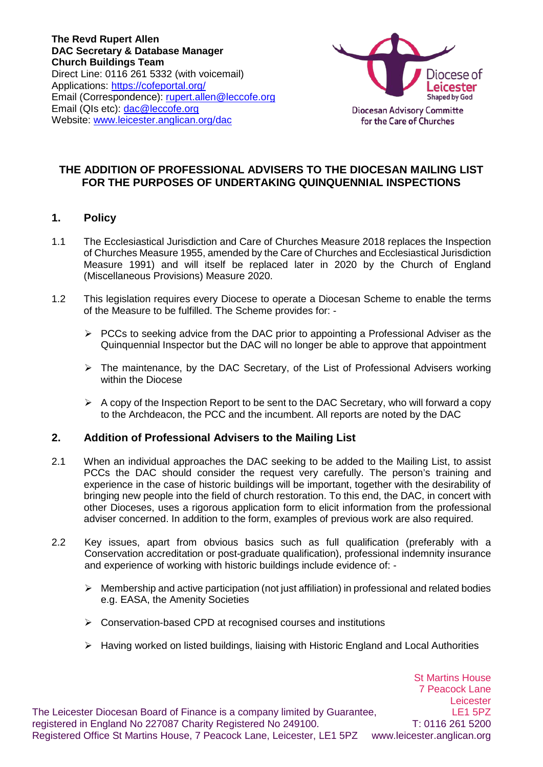**The Revd Rupert Allen DAC Secretary & Database Manager Church Buildings Team** Direct Line: 0116 261 5332 (with voicemail) Applications: https://cofeportal.org/ Email (Correspondence): [rupert.allen@leccofe.org](mailto:rupert.allen@leccofe.org) Email (QIs etc): [dac@leccofe.org](mailto:dac@leccofe.org) Website: [www.leicester.anglican.org/dac](http://www.leicester.anglican.org/dac)



# **THE ADDITION OF PROFESSIONAL ADVISERS TO THE DIOCESAN MAILING LIST FOR THE PURPOSES OF UNDERTAKING QUINQUENNIAL INSPECTIONS**

## **1. Policy**

- 1.1 The Ecclesiastical Jurisdiction and Care of Churches Measure 2018 replaces the Inspection of Churches Measure 1955, amended by the Care of Churches and Ecclesiastical Jurisdiction Measure 1991) and will itself be replaced later in 2020 by the Church of England (Miscellaneous Provisions) Measure 2020.
- 1.2 This legislation requires every Diocese to operate a Diocesan Scheme to enable the terms of the Measure to be fulfilled. The Scheme provides for: -
	- $\triangleright$  PCCs to seeking advice from the DAC prior to appointing a Professional Adviser as the Quinquennial Inspector but the DAC will no longer be able to approve that appointment
	- $\triangleright$  The maintenance, by the DAC Secretary, of the List of Professional Advisers working within the Diocese
	- $\triangleright$  A copy of the Inspection Report to be sent to the DAC Secretary, who will forward a copy to the Archdeacon, the PCC and the incumbent. All reports are noted by the DAC

### **2. Addition of Professional Advisers to the Mailing List**

- 2.1 When an individual approaches the DAC seeking to be added to the Mailing List, to assist PCCs the DAC should consider the request very carefully. The person's training and experience in the case of historic buildings will be important, together with the desirability of bringing new people into the field of church restoration. To this end, the DAC, in concert with other Dioceses, uses a rigorous application form to elicit information from the professional adviser concerned. In addition to the form, examples of previous work are also required.
- 2.2 Key issues, apart from obvious basics such as full qualification (preferably with a Conservation accreditation or post-graduate qualification), professional indemnity insurance and experience of working with historic buildings include evidence of: -
	- $\triangleright$  Membership and active participation (not just affiliation) in professional and related bodies e.g. EASA, the Amenity Societies
	- $\triangleright$  Conservation-based CPD at recognised courses and institutions
	- $\triangleright$  Having worked on listed buildings, liaising with Historic England and Local Authorities